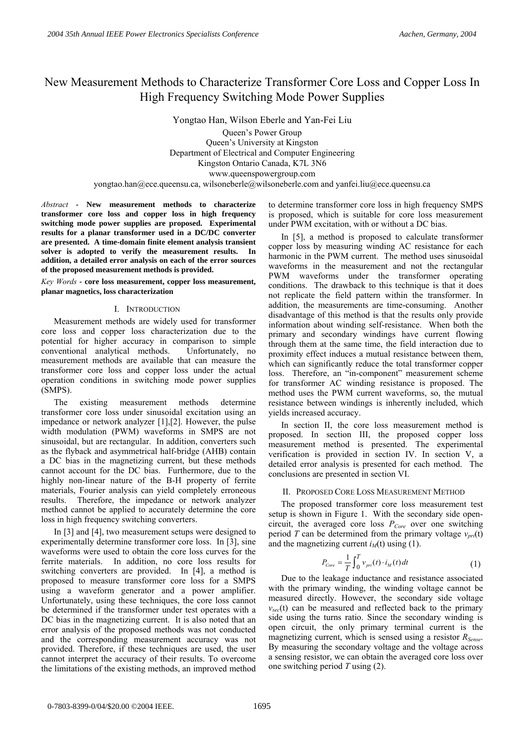# New Measurement Methods to Characterize Transformer Core Loss and Copper Loss In High Frequency Switching Mode Power Supplies

Yongtao Han, Wilson Eberle and Yan-Fei Liu Queen's Power Group Queen's University at Kingston Department of Electrical and Computer Engineering Kingston Ontario Canada, K7L 3N6 www.queenspowergroup.com yongtao.han@ece.queensu.ca, wilsoneberle@wilsoneberle.com and yanfei.liu@ece.queensu.ca

*Abstract -* **New measurement methods to characterize transformer core loss and copper loss in high frequency switching mode power supplies are proposed. Experimental results for a planar transformer used in a DC/DC converter are presented. A time-domain finite element analysis transient solver is adopted to verify the measurement results. In addition, a detailed error analysis on each of the error sources of the proposed measurement methods is provided.** 

*Key Words* **- core loss measurement, copper loss measurement, planar magnetics, loss characterization** 

## I. INTRODUCTION

Measurement methods are widely used for transformer core loss and copper loss characterization due to the potential for higher accuracy in comparison to simple conventional analytical methods. Unfortunately, no measurement methods are available that can measure the transformer core loss and copper loss under the actual operation conditions in switching mode power supplies (SMPS).

The existing measurement methods determine transformer core loss under sinusoidal excitation using an impedance or network analyzer [1],[2]. However, the pulse width modulation (PWM) waveforms in SMPS are not sinusoidal, but are rectangular. In addition, converters such as the flyback and asymmetrical half-bridge (AHB) contain a DC bias in the magnetizing current, but these methods cannot account for the DC bias. Furthermore, due to the highly non-linear nature of the B-H property of ferrite materials, Fourier analysis can yield completely erroneous results. Therefore, the impedance or network analyzer method cannot be applied to accurately determine the core loss in high frequency switching converters.

In [3] and [4], two measurement setups were designed to experimentally determine transformer core loss. In [3], sine waveforms were used to obtain the core loss curves for the ferrite materials. In addition, no core loss results for switching converters are provided. In [4], a method is proposed to measure transformer core loss for a SMPS using a waveform generator and a power amplifier. Unfortunately, using these techniques, the core loss cannot be determined if the transformer under test operates with a DC bias in the magnetizing current. It is also noted that an error analysis of the proposed methods was not conducted and the corresponding measurement accuracy was not provided. Therefore, if these techniques are used, the user cannot interpret the accuracy of their results. To overcome the limitations of the existing methods, an improved method

to determine transformer core loss in high frequency SMPS is proposed, which is suitable for core loss measurement under PWM excitation, with or without a DC bias.

In [5], a method is proposed to calculate transformer copper loss by measuring winding AC resistance for each harmonic in the PWM current. The method uses sinusoidal waveforms in the measurement and not the rectangular PWM waveforms under the transformer operating conditions. The drawback to this technique is that it does not replicate the field pattern within the transformer. In addition, the measurements are time-consuming. Another disadvantage of this method is that the results only provide information about winding self-resistance. When both the primary and secondary windings have current flowing through them at the same time, the field interaction due to proximity effect induces a mutual resistance between them, which can significantly reduce the total transformer copper loss. Therefore, an "in-component" measurement scheme for transformer AC winding resistance is proposed. The method uses the PWM current waveforms, so, the mutual resistance between windings is inherently included, which yields increased accuracy.

In section II, the core loss measurement method is proposed. In section III, the proposed copper loss measurement method is presented. The experimental verification is provided in section IV. In section V, a detailed error analysis is presented for each method. The conclusions are presented in section VI.

## II. PROPOSED CORE LOSS MEASUREMENT METHOD

The proposed transformer core loss measurement test setup is shown in Figure 1. With the secondary side opencircuit, the averaged core loss  $P_{Core}$  over one switching period *T* can be determined from the primary voltage  $v_{pri}(t)$ and the magnetizing current  $i<sub>M</sub>(t)$  using (1).

$$
P_{Core} = \frac{1}{T} \int_0^T v_{pri}(t) \cdot i_M(t) dt \tag{1}
$$

Due to the leakage inductance and resistance associated with the primary winding, the winding voltage cannot be measured directly. However, the secondary side voltage  $v_{\text{sec}}(t)$  can be measured and reflected back to the primary side using the turns ratio. Since the secondary winding is open circuit, the only primary terminal current is the magnetizing current, which is sensed using a resistor *RSense*. By measuring the secondary voltage and the voltage across a sensing resistor, we can obtain the averaged core loss over one switching period *T* using (2).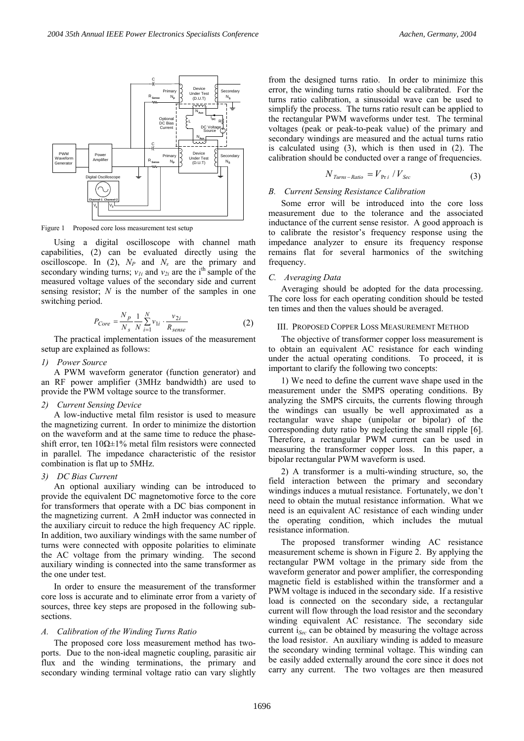

Figure 1 Proposed core loss measurement test setup

Using a digital oscilloscope with channel math capabilities, (2) can be evaluated directly using the oscilloscope. In  $(2)$ ,  $N_P$  and  $N_s$  are the primary and secondary winding turns;  $v_{1i}$  and  $v_{2i}$  are the i<sup>th</sup> sample of the measured voltage values of the secondary side and current sensing resistor; *N* is the number of the samples in one switching period.

$$
P_{Core} = \frac{N_p}{N_s} \frac{1}{N} \sum_{i=1}^{N} v_{1i} \cdot \frac{v_{2i}}{R_{sense}}
$$
 (2)

The practical implementation issues of the measurement setup are explained as follows:

*1) Power Source* 

A PWM waveform generator (function generator) and an RF power amplifier (3MHz bandwidth) are used to provide the PWM voltage source to the transformer.

#### *2) Current Sensing Device*

A low-inductive metal film resistor is used to measure the magnetizing current. In order to minimize the distortion on the waveform and at the same time to reduce the phaseshift error, ten 10Ω±1% metal film resistors were connected in parallel. The impedance characteristic of the resistor combination is flat up to 5MHz.

## *3) DC Bias Current*

An optional auxiliary winding can be introduced to provide the equivalent DC magnetomotive force to the core for transformers that operate with a DC bias component in the magnetizing current. A 2mH inductor was connected in the auxiliary circuit to reduce the high frequency AC ripple. In addition, two auxiliary windings with the same number of turns were connected with opposite polarities to eliminate the AC voltage from the primary winding. The second auxiliary winding is connected into the same transformer as the one under test.

In order to ensure the measurement of the transformer core loss is accurate and to eliminate error from a variety of sources, three key steps are proposed in the following subsections.

## *A. Calibration of the Winding Turns Ratio*

The proposed core loss measurement method has twoports. Due to the non-ideal magnetic coupling, parasitic air flux and the winding terminations, the primary and secondary winding terminal voltage ratio can vary slightly

from the designed turns ratio. In order to minimize this error, the winding turns ratio should be calibrated. For the turns ratio calibration, a sinusoidal wave can be used to simplify the process. The turns ratio result can be applied to the rectangular PWM waveforms under test. The terminal voltages (peak or peak-to-peak value) of the primary and secondary windings are measured and the actual turns ratio is calculated using (3), which is then used in (2). The calibration should be conducted over a range of frequencies.

$$
N_{Turns-Ratio} = V_{\text{Pr}i} / V_{\text{Sec}}
$$
 (3)

# *B. Current Sensing Resistance Calibration*

Some error will be introduced into the core loss measurement due to the tolerance and the associated inductance of the current sense resistor. A good approach is to calibrate the resistor's frequency response using the impedance analyzer to ensure its frequency response remains flat for several harmonics of the switching frequency.

## *C. Averaging Data*

Averaging should be adopted for the data processing. The core loss for each operating condition should be tested ten times and then the values should be averaged.

# III. PROPOSED COPPER LOSS MEASUREMENT METHOD

The objective of transformer copper loss measurement is to obtain an equivalent AC resistance for each winding under the actual operating conditions. To proceed, it is important to clarify the following two concepts:

1) We need to define the current wave shape used in the measurement under the SMPS operating conditions. By analyzing the SMPS circuits, the currents flowing through the windings can usually be well approximated as a rectangular wave shape (unipolar or bipolar) of the corresponding duty ratio by neglecting the small ripple [6]. Therefore, a rectangular PWM current can be used in measuring the transformer copper loss. In this paper, a bipolar rectangular PWM waveform is used.

2) A transformer is a multi-winding structure, so, the field interaction between the primary and secondary windings induces a mutual resistance. Fortunately, we don't need to obtain the mutual resistance information. What we need is an equivalent AC resistance of each winding under the operating condition, which includes the mutual resistance information.

The proposed transformer winding AC resistance measurement scheme is shown in Figure 2. By applying the rectangular PWM voltage in the primary side from the waveform generator and power amplifier, the corresponding magnetic field is established within the transformer and a PWM voltage is induced in the secondary side. If a resistive load is connected on the secondary side, a rectangular current will flow through the load resistor and the secondary winding equivalent AC resistance. The secondary side current i*Sec* can be obtained by measuring the voltage across the load resistor. An auxiliary winding is added to measure the secondary winding terminal voltage. This winding can be easily added externally around the core since it does not carry any current. The two voltages are then measured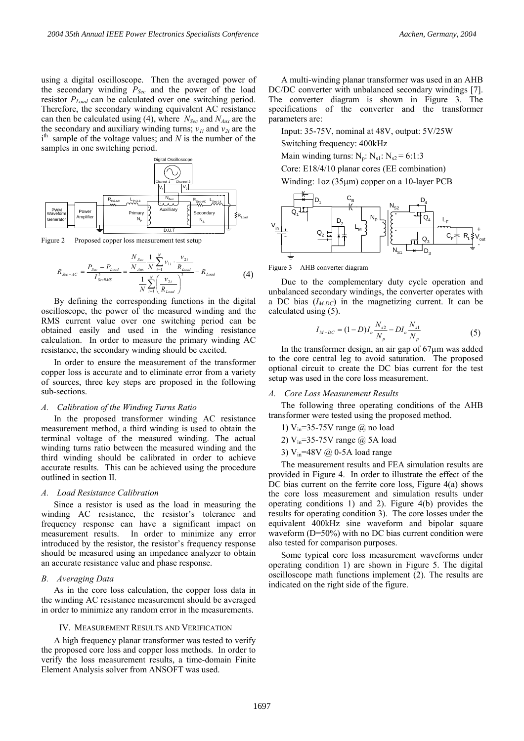using a digital oscilloscope. Then the averaged power of the secondary winding  $P_{Sec}$  and the power of the load resistor *PLoad* can be calculated over one switching period. Therefore, the secondary winding equivalent AC resistance can then be calculated using (4), where *NSec* and *NAux* are the the secondary and auxiliary winding turns;  $v_{1i}$  and  $v_{2i}$  are the i<sup>th</sup> sample of the voltage values; and *N* is the number of the samples in one switching period.



Figure 2 Proposed copper loss measurement test setup

$$
R_{\text{Sec-AC}} = \frac{P_{\text{Sec}} - P_{\text{Load}}}{I_{\text{SecRMS}}^2} = \frac{\frac{N_{\text{Sec}}}{N} \frac{1}{N} \sum_{i=1}^{N} v_{1i} \cdot \frac{v_{2i}}{R_{\text{Load}}}}{\frac{1}{N} \sum_{i=1}^{N} \left(\frac{v_{2i}}{R_{\text{Load}}}\right)^2} - R_{\text{Load}}
$$
(4)

By defining the corresponding functions in the digital oscilloscope, the power of the measured winding and the RMS current value over one switching period can be obtained easily and used in the winding resistance calculation. In order to measure the primary winding AC resistance, the secondary winding should be excited.

In order to ensure the measurement of the transformer copper loss is accurate and to eliminate error from a variety of sources, three key steps are proposed in the following sub-sections.

#### *A. Calibration of the Winding Turns Ratio*

In the proposed transformer winding AC resistance measurement method, a third winding is used to obtain the terminal voltage of the measured winding. The actual winding turns ratio between the measured winding and the third winding should be calibrated in order to achieve accurate results. This can be achieved using the procedure outlined in section II.

#### *A. Load Resistance Calibration*

Since a resistor is used as the load in measuring the winding AC resistance, the resistor's tolerance and frequency response can have a significant impact on measurement results. In order to minimize any error introduced by the resistor, the resistor's frequency response should be measured using an impedance analyzer to obtain an accurate resistance value and phase response.

#### *B. Averaging Data*

As in the core loss calculation, the copper loss data in the winding AC resistance measurement should be averaged in order to minimize any random error in the measurements.

#### IV. MEASUREMENT RESULTS AND VERIFICATION

A high frequency planar transformer was tested to verify the proposed core loss and copper loss methods. In order to verify the loss measurement results, a time-domain Finite Element Analysis solver from ANSOFT was used.

A multi-winding planar transformer was used in an AHB DC/DC converter with unbalanced secondary windings [7]. The converter diagram is shown in Figure 3. The specifications of the converter and the transformer parameters are:

Input: 35-75V, nominal at 48V, output: 5V/25W

Switching frequency: 400kHz

Main winding turns:  $N_p$ :  $N_{s1}$ :  $N_{s2}$  = 6:1:3

Core: E18/4/10 planar cores (EE combination) Winding: 1oz (35µm) copper on a 10-layer PCB

. . . Vin Q1 Q2 CB LM NP NS2 NS1 D1 D4 D2 Q4 Q3 D3 LF CF RL + Vout -

Figure 3 AHB converter diagram

Due to the complementary duty cycle operation and unbalanced secondary windings, the converter operates with a DC bias  $(I_{M-DC})$  in the magnetizing current. It can be calculated using (5).

$$
I_{M-DC} = (1 - D)I_o \frac{N_{s2}}{N_p} - DI_o \frac{N_{s1}}{N_p}
$$
 (5)

In the transformer design, an air gap of 67µm was added to the core central leg to avoid saturation. The proposed optional circuit to create the DC bias current for the test setup was used in the core loss measurement.

#### *A. Core Loss Measurement Results*

The following three operating conditions of the AHB transformer were tested using the proposed method.

- 1)  $V_{in}$ =35-75V range  $\omega$  no load
- 2)  $V_{in}$ =35-75V range @ 5A load
- 3)  $V_{in}$ =48V @ 0-5A load range

The measurement results and FEA simulation results are provided in Figure 4. In order to illustrate the effect of the DC bias current on the ferrite core loss, Figure 4(a) shows the core loss measurement and simulation results under operating conditions 1) and 2). Figure 4(b) provides the results for operating condition 3). The core losses under the equivalent 400kHz sine waveform and bipolar square waveform (D=50%) with no DC bias current condition were also tested for comparison purposes.

Some typical core loss measurement waveforms under operating condition 1) are shown in Figure 5. The digital oscilloscope math functions implement (2). The results are indicated on the right side of the figure.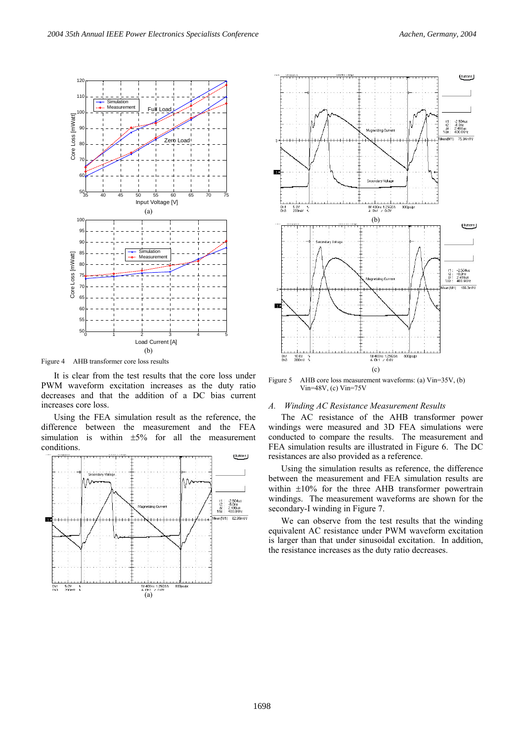

Figure 4 AHB transformer core loss results

It is clear from the test results that the core loss under PWM waveform excitation increases as the duty ratio decreases and that the addition of a DC bias current increases core loss.

Using the FEA simulation result as the reference, the difference between the measurement and the FEA simulation is within  $\pm 5\%$  for all the measurement conditions.





Figure 5 AHB core loss measurement waveforms: (a) Vin=35V, (b) Vin=48V, (c) Vin=75V

## *A. Winding AC Resistance Measurement Results*

The AC resistance of the AHB transformer power windings were measured and 3D FEA simulations were conducted to compare the results. The measurement and FEA simulation results are illustrated in Figure 6. The DC resistances are also provided as a reference.

Using the simulation results as reference, the difference between the measurement and FEA simulation results are within  $\pm 10\%$  for the three AHB transformer powertrain windings. The measurement waveforms are shown for the secondary-I winding in Figure 7.

We can observe from the test results that the winding equivalent AC resistance under PWM waveform excitation is larger than that under sinusoidal excitation. In addition, the resistance increases as the duty ratio decreases.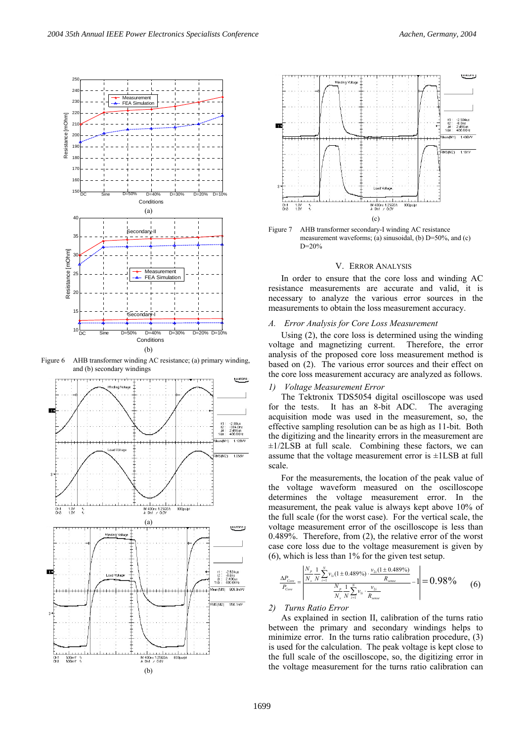

Figure 6 AHB transformer winding AC resistance; (a) primary winding, and (b) secondary windings





Figure 7 AHB transformer secondary-I winding AC resistance measurement waveforms; (a) sinusoidal, (b) D=50%, and (c) D=20%

#### V. ERROR ANALYSIS

In order to ensure that the core loss and winding AC resistance measurements are accurate and valid, it is necessary to analyze the various error sources in the measurements to obtain the loss measurement accuracy.

## *A. Error Analysis for Core Loss Measurement*

Using (2), the core loss is determined using the winding voltage and magnetizing current. Therefore, the error analysis of the proposed core loss measurement method is based on (2). The various error sources and their effect on the core loss measurement accuracy are analyzed as follows.

#### *1) Voltage Measurement Error*

The Tektronix TDS5054 digital oscilloscope was used for the tests. It has an 8-bit ADC. The averaging acquisition mode was used in the measurement, so, the effective sampling resolution can be as high as 11-bit. Both the digitizing and the linearity errors in the measurement are  $\pm 1/2LSB$  at full scale. Combining these factors, we can assume that the voltage measurement error is ±1LSB at full scale.

For the measurements, the location of the peak value of the voltage waveform measured on the oscilloscope determines the voltage measurement error. In the measurement, the peak value is always kept above 10% of the full scale (for the worst case). For the vertical scale, the voltage measurement error of the oscilloscope is less than 0.489%. Therefore, from (2), the relative error of the worst case core loss due to the voltage measurement is given by (6), which is less than 1% for the given test setup.

$$
\frac{\Delta P_{\text{Core}}}{P_{\text{Core}}} = \left| \frac{\frac{N_p}{N_s} \frac{1}{N} \sum_{i=1}^{N} v_{1i} (1 \pm 0.489\%) \cdot \frac{v_{2i} (1 \pm 0.489\%)}{R_{\text{seme}}}}{\frac{N_p}{N_s} \frac{1}{N} \sum_{i=1}^{N} v_{1i} \cdot \frac{v_{2i}}{R_{\text{seme}}} - 1 \right| = 0.98\% \tag{6}
$$

### *2) Turns Ratio Error*

As explained in section II, calibration of the turns ratio between the primary and secondary windings helps to minimize error. In the turns ratio calibration procedure, (3) is used for the calculation. The peak voltage is kept close to the full scale of the oscilloscope, so, the digitizing error in the voltage measurement for the turns ratio calibration can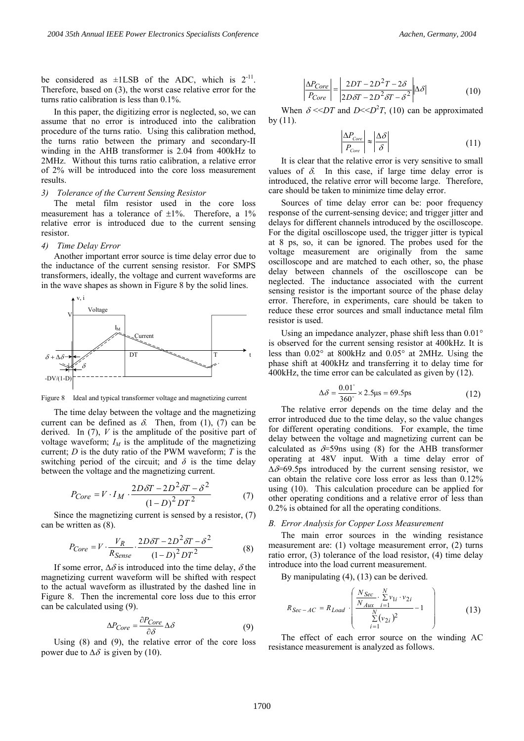In this paper, the digitizing error is neglected, so, we can assume that no error is introduced into the calibration procedure of the turns ratio. Using this calibration method, the turns ratio between the primary and secondary-II winding in the AHB transformer is 2.04 from 400kHz to 2MHz. Without this turns ratio calibration, a relative error of 2% will be introduced into the core loss measurement results.

## *3) Tolerance of the Current Sensing Resistor*

The metal film resistor used in the core loss measurement has a tolerance of  $\pm 1\%$ . Therefore, a 1% relative error is introduced due to the current sensing resistor.

#### *4) Time Delay Error*

Another important error source is time delay error due to the inductance of the current sensing resistor. For SMPS transformers, ideally, the voltage and current waveforms are in the wave shapes as shown in Figure 8 by the solid lines.



Figure 8 Ideal and typical transformer voltage and magnetizing current

The time delay between the voltage and the magnetizing current can be defined as  $\delta$ . Then, from (1), (7) can be derived. In (7), *V* is the amplitude of the positive part of voltage waveform;  $I_M$  is the amplitude of the magnetizing current; *D* is the duty ratio of the PWM waveform; *T* is the switching period of the circuit; and  $\delta$  is the time delay between the voltage and the magnetizing current.

$$
P_{Core} = V \cdot I_M \cdot \frac{2D\delta T - 2D^2 \delta T - \delta^2}{(1 - D)^2 DT^2}
$$
 (7)

Since the magnetizing current is sensed by a resistor, (7) can be written as (8).

$$
P_{Core} = V \cdot \frac{V_R}{R_{Sense}} \cdot \frac{2D\delta T - 2D^2\delta T - \delta^2}{(1 - D)^2 DT^2}
$$
 (8)

If some error,  $\Delta \delta$  is introduced into the time delay,  $\delta$  the magnetizing current waveform will be shifted with respect to the actual waveform as illustrated by the dashed line in Figure 8. Then the incremental core loss due to this error can be calculated using (9).

$$
\Delta P_{Core} = \frac{\partial P_{Core}}{\partial \delta} \Delta \delta \tag{9}
$$

Using (8) and (9), the relative error of the core loss power due to  $\Delta\delta$  is given by (10).

$$
\left| \frac{\Delta P_{Core}}{P_{Core}} \right| = \left| \frac{2DT - 2D^2T - 2\delta}{2D\delta T - 2D^2\delta T - \delta^2} \right| \Delta \delta \tag{10}
$$

When  $\delta \ll DT$  and  $D \ll D^2T$ , (10) can be approximated by (11).

$$
\left| \frac{\Delta P_{\text{Core}}}{P_{\text{Core}}} \right| \approx \left| \frac{\Delta \delta}{\delta} \right| \tag{11}
$$

It is clear that the relative error is very sensitive to small values of  $\delta$ . In this case, if large time delay error is introduced, the relative error will become large. Therefore, care should be taken to minimize time delay error.

Sources of time delay error can be: poor frequency response of the current-sensing device; and trigger jitter and delays for different channels introduced by the oscilloscope. For the digital oscilloscope used, the trigger jitter is typical at 8 ps, so, it can be ignored. The probes used for the voltage measurement are originally from the same oscilloscope and are matched to each other, so, the phase delay between channels of the oscilloscope can be neglected. The inductance associated with the current sensing resistor is the important source of the phase delay error. Therefore, in experiments, care should be taken to reduce these error sources and small inductance metal film resistor is used.

Using an impedance analyzer, phase shift less than 0.01° is observed for the current sensing resistor at 400kHz. It is less than 0.02° at 800kHz and 0.05° at 2MHz. Using the phase shift at 400kHz and transferring it to delay time for 400kHz, the time error can be calculated as given by (12).

$$
\Delta \delta = \frac{0.01^{\circ}}{360^{\circ}} \times 2.5 \mu s = 69.5 \text{ps}
$$
 (12)

The relative error depends on the time delay and the error introduced due to the time delay, so the value changes for different operating conditions. For example, the time delay between the voltage and magnetizing current can be calculated as  $\delta$ =59ns using (8) for the AHB transformer operating at 48V input. With a time delay error of ∆δ=69.5ps introduced by the current sensing resistor, we can obtain the relative core loss error as less than 0.12% using (10). This calculation procedure can be applied for other operating conditions and a relative error of less than 0.2% is obtained for all the operating conditions.

## *B. Error Analysis for Copper Loss Measurement*

The main error sources in the winding resistance measurement are: (1) voltage measurement error, (2) turns ratio error, (3) tolerance of the load resistor, (4) time delay introduce into the load current measurement.

By manipulating (4), (13) can be derived.

$$
R_{Sec-AC} = R_{Load} \cdot \left( \frac{N_{Sec} \cdot \sum_{i=1}^{N} v_{1i} \cdot v_{2i}}{\sum_{i=1}^{N} (v_{2i})^2} - 1 \right)
$$
(13)

The effect of each error source on the winding AC resistance measurement is analyzed as follows.